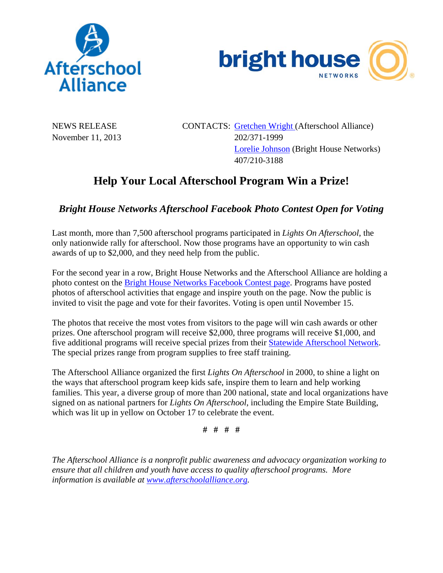



NEWS RELEASE CONTACTS: Gretchen Wright (Afterschool Alliance) November 11, 2013 202/371-1999 Lorelie Johnson (Bright House Networks) 407/210-3188

## **Help Your Local Afterschool Program Win a Prize!**

## *Bright House Networks Afterschool Facebook Photo Contest Open for Voting*

Last month, more than 7,500 afterschool programs participated in *Lights On Afterschool*, the only nationwide rally for afterschool. Now those programs have an opportunity to win cash awards of up to \$2,000, and they need help from the public.

For the second year in a row, Bright House Networks and the Afterschool Alliance are holding a photo contest on the Bright House Networks Facebook Contest page. Programs have posted photos of afterschool activities that engage and inspire youth on the page. Now the public is invited to visit the page and vote for their favorites. Voting is open until November 15.

The photos that receive the most votes from visitors to the page will win cash awards or other prizes. One afterschool program will receive \$2,000, three programs will receive \$1,000, and five additional programs will receive special prizes from their Statewide Afterschool Network. The special prizes range from program supplies to free staff training.

The Afterschool Alliance organized the first *Lights On Afterschool* in 2000, to shine a light on the ways that afterschool program keep kids safe, inspire them to learn and help working families. This year, a diverse group of more than 200 national, state and local organizations have signed on as national partners for *Lights On Afterschool*, including the Empire State Building, which was lit up in yellow on October 17 to celebrate the event.

**# # # #** 

*The Afterschool Alliance is a nonprofit public awareness and advocacy organization working to ensure that all children and youth have access to quality afterschool programs. More information is available at www.afterschoolalliance.org.*